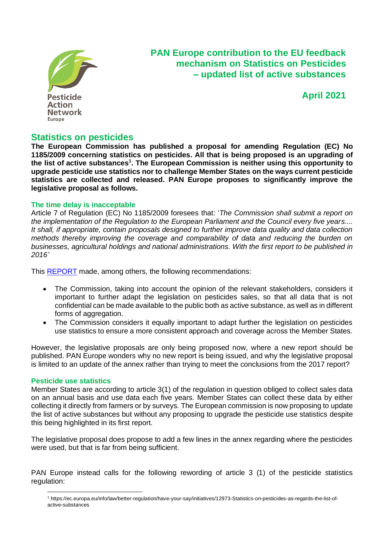

# **PAN Europe contribution to the EU feedback mechanism on Statistics on Pesticides – updated list of active substances**

**April 2021**

# **Statistics on pesticides**

**The European Commission has published a proposal for amending Regulation (EC) No 1185/2009 concerning statistics on pesticides. All that is being proposed is an upgrading of the list of active substances<sup>1</sup> . The European Commission is neither using this opportunity to upgrade pesticide use statistics nor to challenge Member States on the ways current pesticide statistics are collected and released. PAN Europe proposes to significantly improve the legislative proposal as follows.**

## **The time delay is inacceptable**

Article 7 of Regulation (EC) No 1185/2009 foresees that: '*The Commission shall submit a report on the implementation of the Regulation to the European Parliament and the Council every five years.... It shall, if appropriate, contain proposals designed to further improve data quality and data collection methods thereby improving the coverage and comparability of data and reducing the burden on businesses, agricultural holdings and national administrations. With the first report to be published in 2016'* 

This [REPORT](https://eur-lex.europa.eu/legal-content/EN/TXT/PDF/?uri=CELEX:52017DC0109&from=EN) made, among others, the following recommendations:

- The Commission, taking into account the opinion of the relevant stakeholders, considers it important to further adapt the legislation on pesticides sales, so that all data that is not confidential can be made available to the public both as active substance, as well as in different forms of aggregation.
- The Commission considers it equally important to adapt further the legislation on pesticides use statistics to ensure a more consistent approach and coverage across the Member States.

However, the legislative proposals are only being proposed now, where a new report should be published. PAN Europe wonders why no new report is being issued, and why the legislative proposal is limited to an update of the annex rather than trying to meet the conclusions from the 2017 report?

## **Pesticide use statistics**

Member States are according to article 3(1) of the regulation in question obliged to collect sales data on an annual basis and use data each five years. Member States can collect these data by either collecting it directly from farmers or by surveys. The European commission is now proposing to update the list of active substances but without any proposing to upgrade the pesticide use statistics despite this being highlighted in its first report.

The legislative proposal does propose to add a few lines in the annex regarding where the pesticides were used, but that is far from being sufficient.

PAN Europe instead calls for the following rewording of article 3 (1) of the pesticide statistics regulation:

<sup>1</sup> https://ec.europa.eu/info/law/better-regulation/have-your-say/initiatives/12973-Statistics-on-pesticides-as-regards-the-list-ofactive-substances